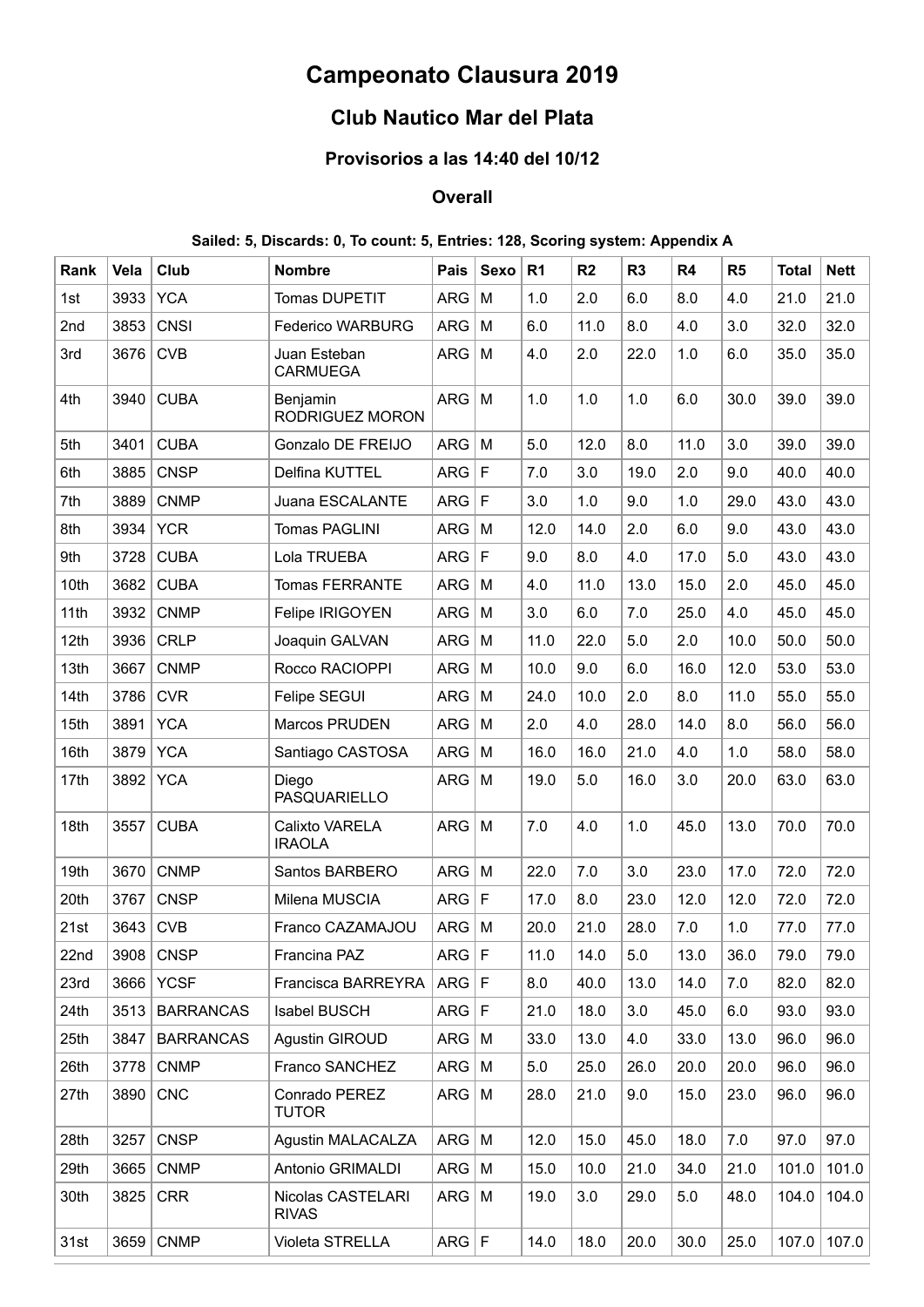# **Campeonato Clausura 2019**

# **Club Nautico Mar del Plata**

### **Provisorios a las 14:40 del 10/12**

## **Overall**

## **Sailed: 5, Discards: 0, To count: 5, Entries: 128, Scoring system: Appendix A**

| Rank | Vela | Club             | <b>Nombre</b>                     | Pais         | Sexo        | R <sub>1</sub> | R <sub>2</sub> | R <sub>3</sub> | R <sub>4</sub> | R <sub>5</sub> | <b>Total</b> | <b>Nett</b> |
|------|------|------------------|-----------------------------------|--------------|-------------|----------------|----------------|----------------|----------------|----------------|--------------|-------------|
| 1st  | 3933 | <b>YCA</b>       | <b>Tomas DUPETIT</b>              | <b>ARG</b>   | M           | 1.0            | 2.0            | 6.0            | 8.0            | 4.0            | 21.0         | 21.0        |
| 2nd  | 3853 | <b>CNSI</b>      | <b>Federico WARBURG</b>           | <b>ARG</b>   | M           | 6.0            | 11.0           | 8.0            | 4.0            | 3.0            | 32.0         | 32.0        |
| 3rd  | 3676 | <b>CVB</b>       | Juan Esteban<br><b>CARMUEGA</b>   | <b>ARG</b>   | M           | 4.0            | 2.0            | 22.0           | 1.0            | 6.0            | 35.0         | 35.0        |
| 4th  | 3940 | <b>CUBA</b>      | Benjamin<br>RODRIGUEZ MORON       | <b>ARG</b>   | M           | 1.0            | 1.0            | 1.0            | 6.0            | 30.0           | 39.0         | 39.0        |
| 5th  | 3401 | <b>CUBA</b>      | Gonzalo DE FREIJO                 | ARG          | M           | 5.0            | 12.0           | 8.0            | 11.0           | 3.0            | 39.0         | 39.0        |
| 6th  | 3885 | <b>CNSP</b>      | Delfina KUTTEL                    | ARG          | F           | 7.0            | 3.0            | 19.0           | 2.0            | 9.0            | 40.0         | 40.0        |
| 7th  | 3889 | <b>CNMP</b>      | Juana ESCALANTE                   | <b>ARG</b>   | $\mathsf F$ | 3.0            | 1.0            | 9.0            | 1.0            | 29.0           | 43.0         | 43.0        |
| 8th  | 3934 | <b>YCR</b>       | Tomas PAGLINI                     | <b>ARG</b>   | M           | 12.0           | 14.0           | 2.0            | 6.0            | 9.0            | 43.0         | 43.0        |
| 9th  | 3728 | <b>CUBA</b>      | Lola TRUEBA                       | <b>ARG</b>   | $\mathsf F$ | 9.0            | 8.0            | 4.0            | 17.0           | 5.0            | 43.0         | 43.0        |
| 10th | 3682 | <b>CUBA</b>      | <b>Tomas FERRANTE</b>             | <b>ARG</b>   | M           | 4.0            | 11.0           | 13.0           | 15.0           | 2.0            | 45.0         | 45.0        |
| 11th | 3932 | <b>CNMP</b>      | Felipe IRIGOYEN                   | <b>ARG</b>   | M           | 3.0            | 6.0            | 7.0            | 25.0           | 4.0            | 45.0         | 45.0        |
| 12th | 3936 | <b>CRLP</b>      | Joaquin GALVAN                    | <b>ARG</b>   | M           | 11.0           | 22.0           | 5.0            | 2.0            | 10.0           | 50.0         | 50.0        |
| 13th | 3667 | <b>CNMP</b>      | Rocco RACIOPPI                    | <b>ARG</b>   | M           | 10.0           | 9.0            | 6.0            | 16.0           | 12.0           | 53.0         | 53.0        |
| 14th | 3786 | <b>CVR</b>       | Felipe SEGUI                      | <b>ARG</b>   | M           | 24.0           | 10.0           | 2.0            | 8.0            | 11.0           | 55.0         | 55.0        |
| 15th | 3891 | <b>YCA</b>       | Marcos PRUDEN                     | <b>ARG</b>   | M           | 2.0            | 4.0            | 28.0           | 14.0           | 8.0            | 56.0         | 56.0        |
| 16th | 3879 | <b>YCA</b>       | Santiago CASTOSA                  | <b>ARG</b>   | M           | 16.0           | 16.0           | 21.0           | 4.0            | 1.0            | 58.0         | 58.0        |
| 17th | 3892 | <b>YCA</b>       | Diego<br>PASQUARIELLO             | <b>ARG</b>   | M           | 19.0           | 5.0            | 16.0           | 3.0            | 20.0           | 63.0         | 63.0        |
| 18th | 3557 | <b>CUBA</b>      | Calixto VARELA<br><b>IRAOLA</b>   | <b>ARG</b>   | M           | 7.0            | 4.0            | 1.0            | 45.0           | 13.0           | 70.0         | 70.0        |
| 19th | 3670 | <b>CNMP</b>      | Santos BARBERO                    | <b>ARG</b>   | M           | 22.0           | 7.0            | 3.0            | 23.0           | 17.0           | 72.0         | 72.0        |
| 20th | 3767 | <b>CNSP</b>      | Milena MUSCIA                     | ARG          | $\mathsf F$ | 17.0           | 8.0            | 23.0           | 12.0           | 12.0           | 72.0         | 72.0        |
| 21st | 3643 | <b>CVB</b>       | Franco CAZAMAJOU                  | <b>ARG</b>   | M           | 20.0           | 21.0           | 28.0           | 7.0            | 1.0            | 77.0         | 77.0        |
| 22nd | 3908 | <b>CNSP</b>      | Francina PAZ                      | ARG F        |             | 11.0           | 14.0           | 5.0            | 13.0           | 36.0           | 79.0         | 79.0        |
| 23rd | 3666 | <b>YCSF</b>      | Francisca BARREYRA                | ARG F        |             | 8.0            | 40.0           | 13.0           | 14.0           | 7.0            | 82.0         | 82.0        |
| 24th | 3513 | <b>BARRANCAS</b> | <b>Isabel BUSCH</b>               | ARG F        |             | 21.0           | 18.0           | 3.0            | 45.0           | 6.0            | 93.0         | 93.0        |
| 25th | 3847 | <b>BARRANCAS</b> | Agustin GIROUD                    | $ARG$   M    |             | 33.0           | 13.0           | 4.0            | 33.0           | 13.0           | 96.0         | 96.0        |
| 26th | 3778 | <b>CNMP</b>      | Franco SANCHEZ                    | $ARG$   M    |             | 5.0            | 25.0           | 26.0           | 20.0           | 20.0           | 96.0         | 96.0        |
| 27th | 3890 | <b>CNC</b>       | Conrado PEREZ<br><b>TUTOR</b>     | $ARG$   M    |             | 28.0           | 21.0           | 9.0            | 15.0           | 23.0           | 96.0         | 96.0        |
| 28th | 3257 | <b>CNSP</b>      | <b>Aqustin MALACALZA</b>          | $ARG$ M      |             | 12.0           | 15.0           | 45.0           | 18.0           | 7.0            | 97.0         | 97.0        |
| 29th | 3665 | <b>CNMP</b>      | Antonio GRIMALDI                  | $ARG$   M    |             | 15.0           | 10.0           | 21.0           | 34.0           | 21.0           | 101.0        | 101.0       |
| 30th | 3825 | <b>CRR</b>       | Nicolas CASTELARI<br><b>RIVAS</b> | $ARG \mid M$ |             | 19.0           | 3.0            | 29.0           | 5.0            | 48.0           | 104.0        | 104.0       |
| 31st | 3659 | <b>CNMP</b>      | Violeta STRELLA                   | ARG F        |             | 14.0           | 18.0           | 20.0           | 30.0           | 25.0           | 107.0        | 107.0       |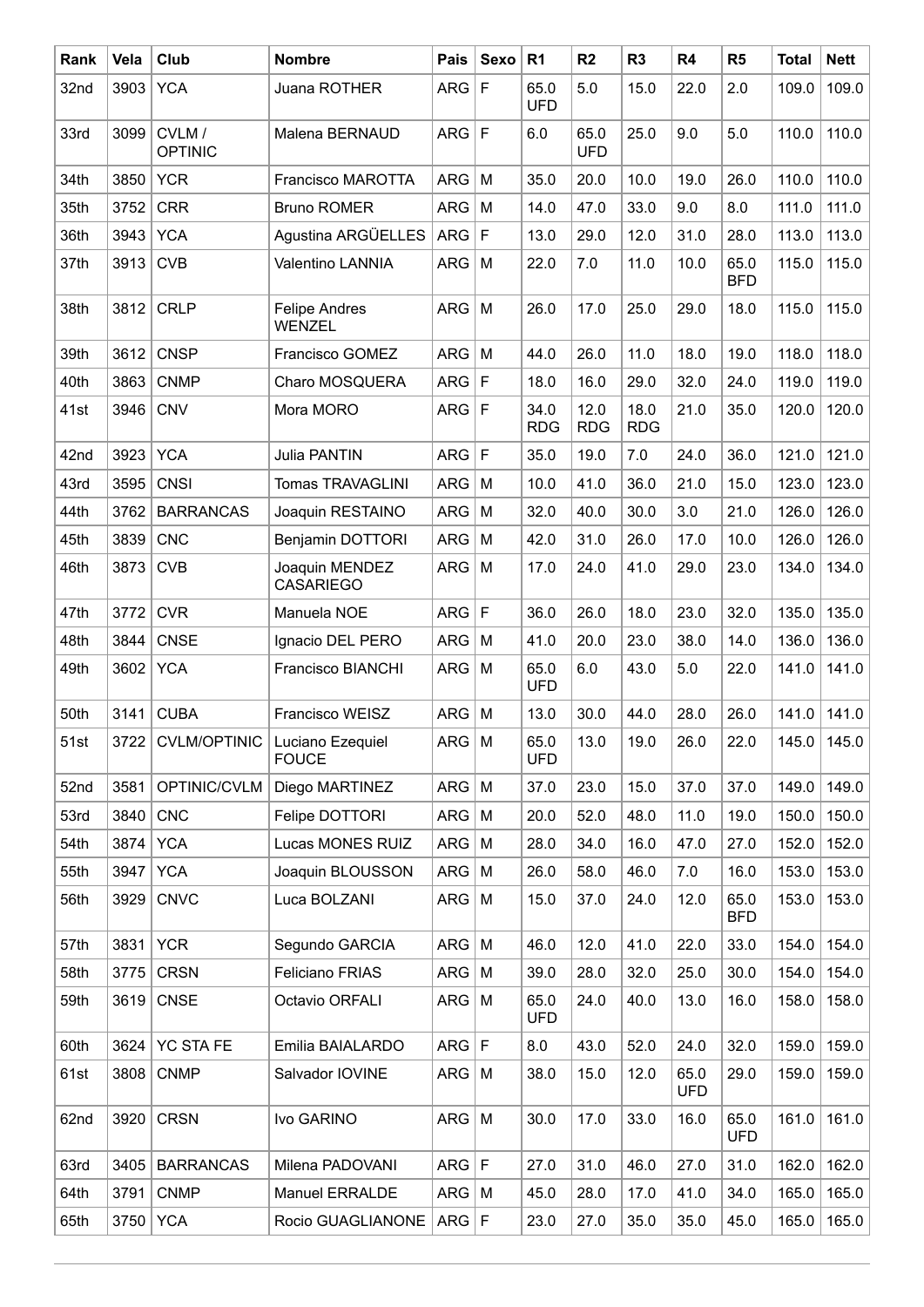| Rank | Vela | Club                    | <b>Nombre</b>                                      | Pais         | Sexo        | R <sub>1</sub>     | R2                 | R <sub>3</sub>     | R4                 | R5                 | <b>Total</b> | <b>Nett</b> |
|------|------|-------------------------|----------------------------------------------------|--------------|-------------|--------------------|--------------------|--------------------|--------------------|--------------------|--------------|-------------|
| 32nd | 3903 | <b>YCA</b>              | Juana ROTHER                                       | ARG          | $\mathsf F$ | 65.0<br><b>UFD</b> | 5.0                | 15.0               | 22.0               | 2.0                | 109.0        | 109.0       |
| 33rd | 3099 | CVLM/<br><b>OPTINIC</b> | Malena BERNAUD                                     | ARG F        |             | 6.0                | 65.0<br><b>UFD</b> | 25.0               | 9.0                | 5.0                | 110.0        | 110.0       |
| 34th | 3850 | <b>YCR</b>              | Francisco MAROTTA                                  | <b>ARG</b>   | M           | 35.0               | 20.0               | 10.0               | 19.0               | 26.0               | 110.0        | 110.0       |
| 35th | 3752 | <b>CRR</b>              | <b>Bruno ROMER</b>                                 | ARG          | M           | 14.0               | 47.0               | 33.0               | 9.0                | 8.0                | 111.0        | 111.0       |
| 36th | 3943 | <b>YCA</b>              | Agustina ARGÜELLES                                 | ARG          | l F         | 13.0               | 29.0               | 12.0               | 31.0               | 28.0               | 113.0        | 113.0       |
| 37th | 3913 | <b>CVB</b>              | Valentino LANNIA                                   | <b>ARG</b>   | M           | 22.0               | 7.0                | 11.0               | 10.0               | 65.0<br><b>BFD</b> | 115.0        | 115.0       |
| 38th | 3812 | <b>CRLP</b>             | <b>Felipe Andres</b><br><b>WENZEL</b>              | <b>ARG</b>   | M           | 26.0               | 17.0               | 25.0               | 29.0               | 18.0               | 115.0        | 115.0       |
| 39th | 3612 | <b>CNSP</b>             | Francisco GOMEZ                                    | <b>ARG</b>   | M           | 44.0               | 26.0               | 11.0               | 18.0               | 19.0               | 118.0        | 118.0       |
| 40th | 3863 | <b>CNMP</b>             | Charo MOSQUERA                                     | ARG F        |             | 18.0               | 16.0               | 29.0               | 32.0               | 24.0               | 119.0        | 119.0       |
| 41st | 3946 | <b>CNV</b>              | Mora MORO                                          | ARG F        |             | 34.0<br><b>RDG</b> | 12.0<br><b>RDG</b> | 18.0<br><b>RDG</b> | 21.0               | 35.0               | 120.0        | 120.0       |
| 42nd | 3923 | <b>YCA</b>              | Julia PANTIN                                       | ARG          | $\mathsf F$ | 35.0               | 19.0               | 7.0                | 24.0               | 36.0               | 121.0        | 121.0       |
| 43rd | 3595 | <b>CNSI</b>             | <b>Tomas TRAVAGLINI</b>                            | ARG          | M           | 10.0               | 41.0               | 36.0               | 21.0               | 15.0               | 123.0        | 123.0       |
| 44th | 3762 | <b>BARRANCAS</b>        | Joaquin RESTAINO                                   | <b>ARG</b>   | M           | 32.0               | 40.0               | 30.0               | 3.0                | 21.0               | 126.0        | 126.0       |
| 45th | 3839 | <b>CNC</b>              | <b>Benjamin DOTTORI</b>                            | <b>ARG</b>   | M           | 42.0               | 31.0               | 26.0               | 17.0               | 10.0               | 126.0        | 126.0       |
| 46th | 3873 | <b>CVB</b>              | Joaquin MENDEZ<br><b>CASARIEGO</b>                 | <b>ARG</b>   | M           | 17.0               | 24.0               | 41.0               | 29.0               | 23.0               | 134.0        | 134.0       |
| 47th | 3772 | <b>CVR</b>              | Manuela NOE                                        | ARG F        |             | 36.0               | 26.0               | 18.0               | 23.0               | 32.0               | 135.0        | 135.0       |
| 48th | 3844 | <b>CNSE</b>             | Ignacio DEL PERO                                   | ARG          | M           | 41.0               | 20.0               | 23.0               | 38.0               | 14.0               | 136.0        | 136.0       |
| 49th | 3602 | <b>YCA</b>              | Francisco BIANCHI                                  | ARG          | M           | 65.0<br><b>UFD</b> | 6.0                | 43.0               | 5.0                | 22.0               | 141.0        | 141.0       |
| 50th | 3141 | <b>CUBA</b>             | Francisco WEISZ                                    | ARG          | M           | 13.0               | 30.0               | 44.0               | 28.0               | 26.0               | 141.0        | 141.0       |
| 51st |      |                         | 3722 CVLM/OPTINIC Luciano Ezequiel<br><b>FOUCE</b> | $ARG$ M      |             | 65.0<br><b>UFD</b> | 13.0               | 19.0               | 26.0               | 22.0               | 145.0        | 145.0       |
| 52nd | 3581 | OPTINIC/CVLM            | Diego MARTINEZ                                     | $ARG$   M    |             | 37.0               | 23.0               | 15.0               | 37.0               | 37.0               | 149.0        | 149.0       |
| 53rd | 3840 | <b>CNC</b>              | Felipe DOTTORI                                     | $ARG$ M      |             | 20.0               | 52.0               | 48.0               | 11.0               | 19.0               | 150.0        | 150.0       |
| 54th | 3874 | <b>YCA</b>              | Lucas MONES RUIZ                                   | ARG          | M           | 28.0               | 34.0               | 16.0               | 47.0               | 27.0               | 152.0        | 152.0       |
| 55th | 3947 | <b>YCA</b>              | Joaquin BLOUSSON                                   | ARG          | M           | 26.0               | 58.0               | 46.0               | 7.0                | 16.0               | 153.0        | 153.0       |
| 56th | 3929 | <b>CNVC</b>             | Luca BOLZANI                                       | ARG          | M           | 15.0               | 37.0               | 24.0               | 12.0               | 65.0<br><b>BFD</b> | 153.0        | 153.0       |
| 57th | 3831 | <b>YCR</b>              | Segundo GARCIA                                     | $ARG \mid M$ |             | 46.0               | 12.0               | 41.0               | 22.0               | 33.0               | 154.0        | 154.0       |
| 58th | 3775 | <b>CRSN</b>             | Feliciano FRIAS                                    | $ARG \mid M$ |             | 39.0               | 28.0               | 32.0               | 25.0               | 30.0               | 154.0        | 154.0       |
| 59th | 3619 | <b>CNSE</b>             | Octavio ORFALI                                     | $ARG$   M    |             | 65.0<br><b>UFD</b> | 24.0               | 40.0               | 13.0               | 16.0               | 158.0        | 158.0       |
| 60th | 3624 | <b>YC STA FE</b>        | Emilia BAIALARDO                                   | ARG F        |             | 8.0                | 43.0               | 52.0               | 24.0               | 32.0               | 159.0        | 159.0       |
| 61st | 3808 | <b>CNMP</b>             | Salvador IOVINE                                    | $ARG$   M    |             | 38.0               | 15.0               | 12.0               | 65.0<br><b>UFD</b> | 29.0               | 159.0        | 159.0       |
| 62nd | 3920 | <b>CRSN</b>             | Ivo GARINO                                         | $ARG \mid M$ |             | 30.0               | 17.0               | 33.0               | 16.0               | 65.0<br><b>UFD</b> | 161.0        | 161.0       |
| 63rd | 3405 | <b>BARRANCAS</b>        | Milena PADOVANI                                    | ARG F        |             | 27.0               | 31.0               | 46.0               | 27.0               | 31.0               | 162.0        | 162.0       |
| 64th | 3791 | <b>CNMP</b>             | Manuel ERRALDE                                     | $ARG$ M      |             | 45.0               | 28.0               | 17.0               | 41.0               | 34.0               | 165.0        | 165.0       |
| 65th | 3750 | <b>YCA</b>              | Rocio GUAGLIANONE                                  | ARG F        |             | 23.0               | 27.0               | 35.0               | 35.0               | 45.0               | 165.0        | 165.0       |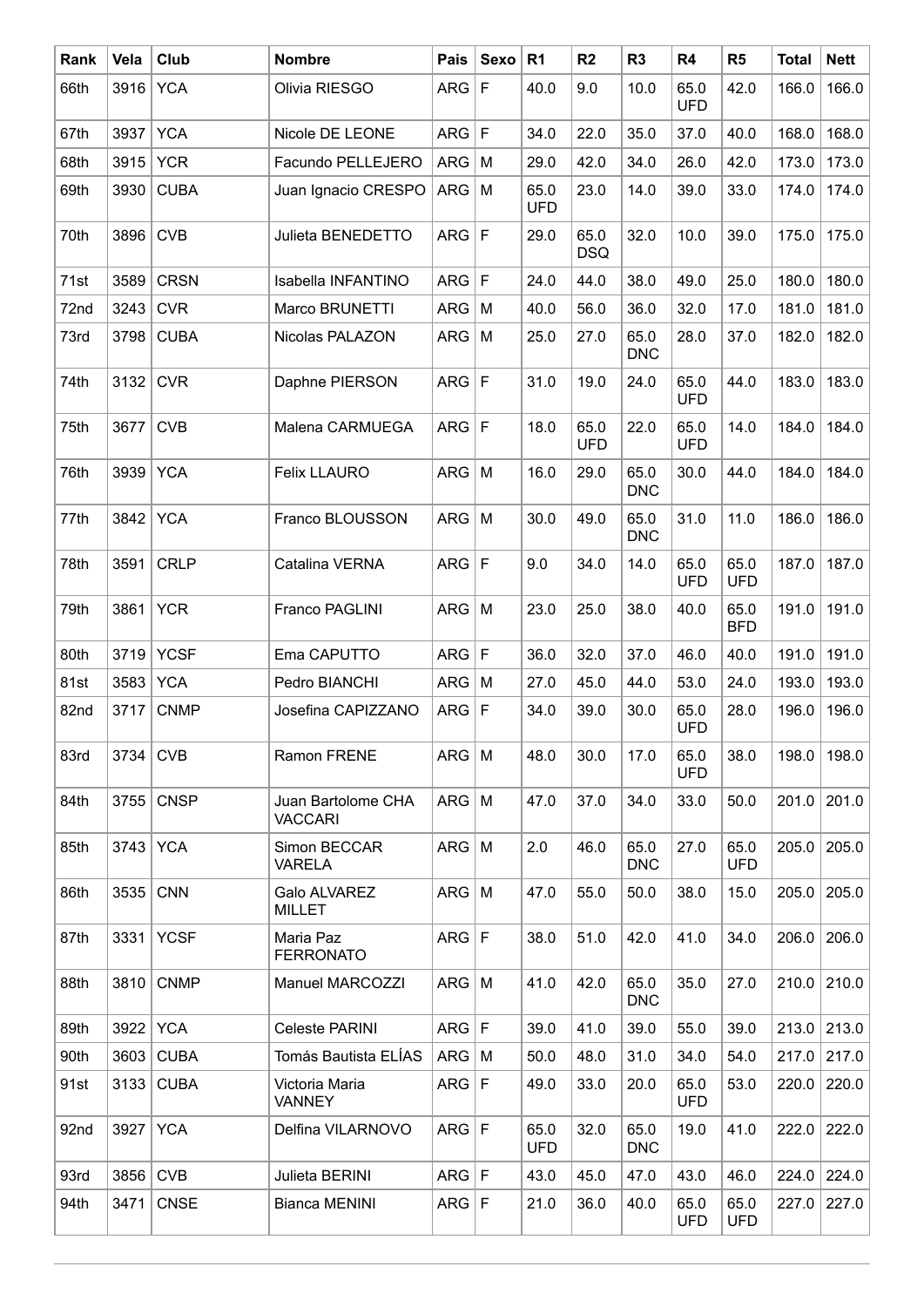| Rank | Vela | Club        | <b>Nombre</b>                        | Pais         | Sexo        | R <sub>1</sub>     | R <sub>2</sub>     | R <sub>3</sub>     | R4                 | R <sub>5</sub>     | <b>Total</b> | <b>Nett</b> |
|------|------|-------------|--------------------------------------|--------------|-------------|--------------------|--------------------|--------------------|--------------------|--------------------|--------------|-------------|
| 66th |      | 3916 YCA    | Olivia RIESGO                        | <b>ARG</b>   | $\mathsf F$ | 40.0               | 9.0                | 10.0               | 65.0<br><b>UFD</b> | 42.0               | 166.0        | 166.0       |
| 67th | 3937 | <b>YCA</b>  | Nicole DE LEONE                      | <b>ARG</b>   | $\mathsf F$ | 34.0               | 22.0               | 35.0               | 37.0               | 40.0               | 168.0        | 168.0       |
| 68th | 3915 | <b>YCR</b>  | Facundo PELLEJERO                    | ARG          | M           | 29.0               | 42.0               | 34.0               | 26.0               | 42.0               | 173.0        | 173.0       |
| 69th | 3930 | <b>CUBA</b> | Juan Ignacio CRESPO                  | $ARG$ M      |             | 65.0<br><b>UFD</b> | 23.0               | 14.0               | 39.0               | 33.0               | 174.0        | 174.0       |
| 70th | 3896 | <b>CVB</b>  | Julieta BENEDETTO                    | <b>ARG</b>   | F           | 29.0               | 65.0<br><b>DSQ</b> | 32.0               | 10.0               | 39.0               | 175.0        | 175.0       |
| 71st | 3589 | <b>CRSN</b> | Isabella INFANTINO                   | <b>ARG</b>   | $\mathsf F$ | 24.0               | 44.0               | 38.0               | 49.0               | 25.0               | 180.0        | 180.0       |
| 72nd | 3243 | <b>CVR</b>  | Marco BRUNETTI                       | ARG          | M           | 40.0               | 56.0               | 36.0               | 32.0               | 17.0               | 181.0        | 181.0       |
| 73rd | 3798 | <b>CUBA</b> | Nicolas PALAZON                      | <b>ARG</b>   | M           | 25.0               | 27.0               | 65.0<br><b>DNC</b> | 28.0               | 37.0               | 182.0        | 182.0       |
| 74th | 3132 | <b>CVR</b>  | Daphne PIERSON                       | ARG F        |             | 31.0               | 19.0               | 24.0               | 65.0<br><b>UFD</b> | 44.0               | 183.0        | 183.0       |
| 75th | 3677 | <b>CVB</b>  | Malena CARMUEGA                      | ARG F        |             | 18.0               | 65.0<br><b>UFD</b> | 22.0               | 65.0<br><b>UFD</b> | 14.0               | 184.0        | 184.0       |
| 76th | 3939 | <b>YCA</b>  | <b>Felix LLAURO</b>                  | <b>ARG</b>   | M           | 16.0               | 29.0               | 65.0<br><b>DNC</b> | 30.0               | 44.0               | 184.0        | 184.0       |
| 77th | 3842 | <b>YCA</b>  | Franco BLOUSSON                      | ARG          | M           | 30.0               | 49.0               | 65.0<br><b>DNC</b> | 31.0               | 11.0               | 186.0        | 186.0       |
| 78th | 3591 | <b>CRLP</b> | Catalina VERNA                       | ARG F        |             | 9.0                | 34.0               | 14.0               | 65.0<br><b>UFD</b> | 65.0<br><b>UFD</b> | 187.0        | 187.0       |
| 79th | 3861 | <b>YCR</b>  | Franco PAGLINI                       | $ARG \mid M$ |             | 23.0               | 25.0               | 38.0               | 40.0               | 65.0<br><b>BFD</b> | 191.0        | 191.0       |
| 80th | 3719 | <b>YCSF</b> | Ema CAPUTTO                          | <b>ARG</b>   | F           | 36.0               | 32.0               | 37.0               | 46.0               | 40.0               | 191.0        | 191.0       |
| 81st | 3583 | <b>YCA</b>  | Pedro BIANCHI                        | ARG          | M           | 27.0               | 45.0               | 44.0               | 53.0               | 24.0               | 193.0        | 193.0       |
| 82nd | 3717 | <b>CNMP</b> | Josefina CAPIZZANO                   | ARG          | $\mathsf F$ | 34.0               | 39.0               | 30.0               | 65.0<br><b>UFD</b> | 28.0               | 196.0        | 196.0       |
| 83rd | 3734 | <b>CVB</b>  | Ramon FRENE                          | <b>ARG</b>   | M           | 48.0               | 30.0               | 17.0               | 65.0<br><b>UFD</b> | 38.0               | 198.0        | 198.0       |
| 84th |      | 3755 CNSP   | Juan Bartolome CHA<br><b>VACCARI</b> | $ARG \mid M$ |             | 47.0               | 37.0               | 34.0               | 33.0               | 50.0               | 201.0        | 201.0       |
| 85th |      | 3743 YCA    | Simon BECCAR<br><b>VARELA</b>        | $ARG \mid M$ |             | 2.0                | 46.0               | 65.0<br><b>DNC</b> | 27.0               | 65.0<br><b>UFD</b> | 205.0        | 205.0       |
| 86th | 3535 | <b>CNN</b>  | Galo ALVAREZ<br>MILLET               | $ARG \mid M$ |             | 47.0               | 55.0               | 50.0               | 38.0               | 15.0               | 205.0        | 205.0       |
| 87th | 3331 | <b>YCSF</b> | Maria Paz<br><b>FERRONATO</b>        | ARG F        |             | 38.0               | 51.0               | 42.0               | 41.0               | 34.0               | 206.0        | 206.0       |
| 88th |      | 3810 CNMP   | Manuel MARCOZZI                      | $ARG$   M    |             | 41.0               | 42.0               | 65.0<br><b>DNC</b> | 35.0               | 27.0               | 210.0        | 210.0       |
| 89th |      | 3922 YCA    | Celeste PARINI                       | ARG F        |             | 39.0               | 41.0               | 39.0               | 55.0               | 39.0               | 213.0        | 213.0       |
| 90th | 3603 | <b>CUBA</b> | Tomás Bautista ELÍAS                 | $ARG$ M      |             | 50.0               | 48.0               | 31.0               | 34.0               | 54.0               | 217.0        | 217.0       |
| 91st |      | 3133 CUBA   | Victoria Maria<br><b>VANNEY</b>      | ARG F        |             | 49.0               | 33.0               | 20.0               | 65.0<br><b>UFD</b> | 53.0               | 220.0        | 220.0       |
| 92nd |      | 3927 YCA    | Delfina VILARNOVO                    | ARG F        |             | 65.0<br><b>UFD</b> | 32.0               | 65.0<br><b>DNC</b> | 19.0               | 41.0               | 222.0        | 222.0       |
| 93rd | 3856 | <b>CVB</b>  | Julieta BERINI                       | ARG F        |             | 43.0               | 45.0               | 47.0               | 43.0               | 46.0               | 224.0        | 224.0       |
| 94th | 3471 | <b>CNSE</b> | <b>Bianca MENINI</b>                 | ARG F        |             | 21.0               | 36.0               | 40.0               | 65.0<br><b>UFD</b> | 65.0<br><b>UFD</b> | 227.0        | 227.0       |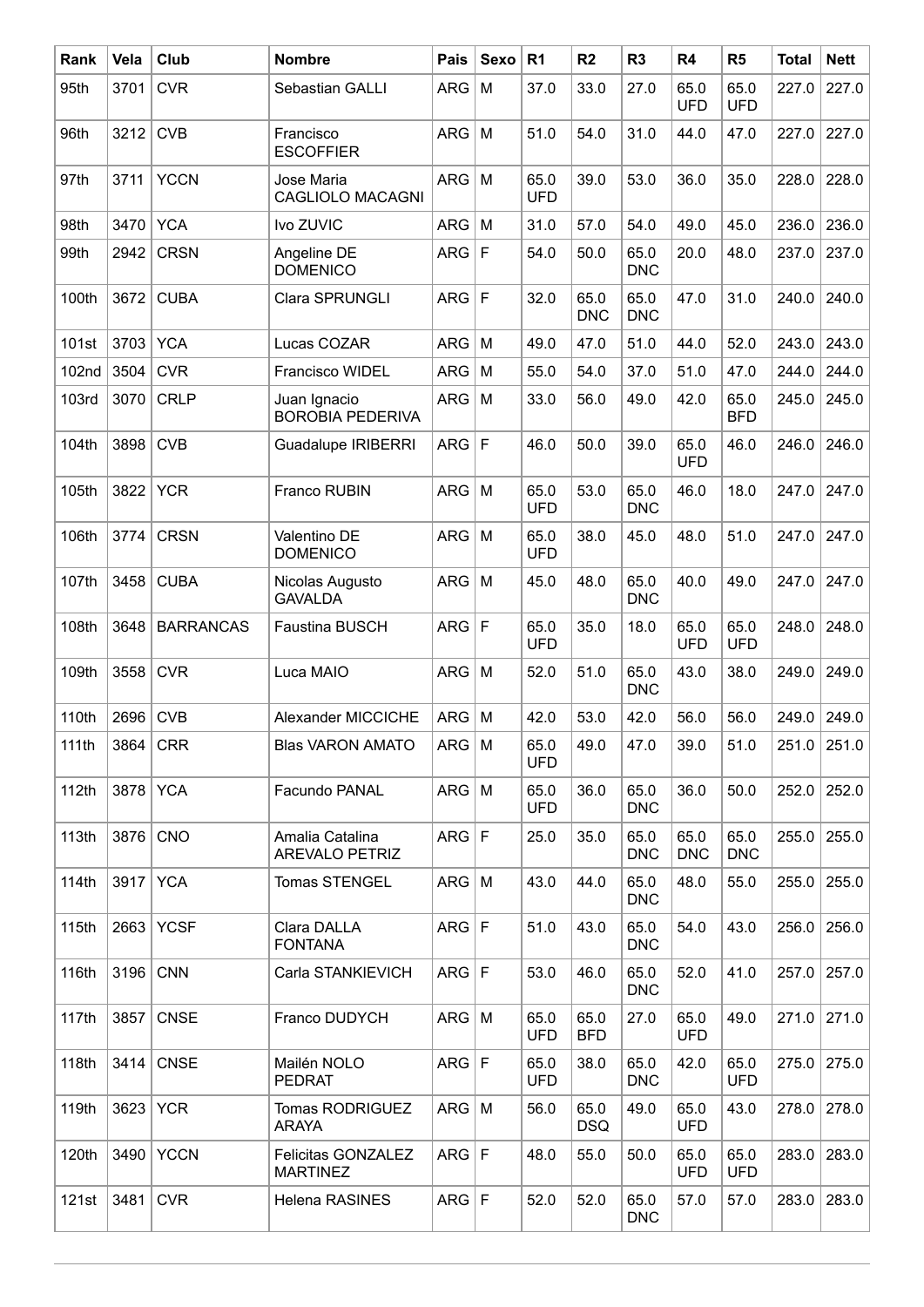| Rank  | Vela | Club             | <b>Nombre</b>                            | Pais         | Sexo        | R <sub>1</sub>     | R <sub>2</sub>     | R <sub>3</sub>     | R4                 | R <sub>5</sub>     | <b>Total</b> | <b>Nett</b> |
|-------|------|------------------|------------------------------------------|--------------|-------------|--------------------|--------------------|--------------------|--------------------|--------------------|--------------|-------------|
| 95th  | 3701 | <b>CVR</b>       | Sebastian GALLI                          | <b>ARG</b>   | M           | 37.0               | 33.0               | 27.0               | 65.0<br><b>UFD</b> | 65.0<br><b>UFD</b> | 227.0        | 227.0       |
| 96th  | 3212 | <b>CVB</b>       | Francisco<br><b>ESCOFFIER</b>            | <b>ARG</b>   | M           | 51.0               | 54.0               | 31.0               | 44.0               | 47.0               | 227.0        | 227.0       |
| 97th  | 3711 | <b>YCCN</b>      | Jose Maria<br><b>CAGLIOLO MACAGNI</b>    | <b>ARG</b>   | M           | 65.0<br><b>UFD</b> | 39.0               | 53.0               | 36.0               | 35.0               | 228.0        | 228.0       |
| 98th  | 3470 | <b>YCA</b>       | Ivo ZUVIC                                | <b>ARG</b>   | M           | 31.0               | 57.0               | 54.0               | 49.0               | 45.0               | 236.0        | 236.0       |
| 99th  | 2942 | <b>CRSN</b>      | Angeline DE<br><b>DOMENICO</b>           | <b>ARG</b>   | $\mathsf F$ | 54.0               | 50.0               | 65.0<br><b>DNC</b> | 20.0               | 48.0               | 237.0        | 237.0       |
| 100th | 3672 | <b>CUBA</b>      | Clara SPRUNGLI                           | <b>ARG</b>   | $\mathsf F$ | 32.0               | 65.0<br><b>DNC</b> | 65.0<br><b>DNC</b> | 47.0               | 31.0               | 240.0        | 240.0       |
| 101st | 3703 | <b>YCA</b>       | Lucas COZAR                              | <b>ARG</b>   | M           | 49.0               | 47.0               | 51.0               | 44.0               | 52.0               | 243.0        | 243.0       |
| 102nd | 3504 | <b>CVR</b>       | Francisco WIDEL                          | ARG          | M           | 55.0               | 54.0               | 37.0               | 51.0               | 47.0               | 244.0        | 244.0       |
| 103rd | 3070 | <b>CRLP</b>      | Juan Ignacio<br><b>BOROBIA PEDERIVA</b>  | <b>ARG</b>   | M           | 33.0               | 56.0               | 49.0               | 42.0               | 65.0<br><b>BFD</b> | 245.0        | 245.0       |
| 104th | 3898 | <b>CVB</b>       | <b>Guadalupe IRIBERRI</b>                | <b>ARG</b>   | $\mathsf F$ | 46.0               | 50.0               | 39.0               | 65.0<br><b>UFD</b> | 46.0               | 246.0        | 246.0       |
| 105th | 3822 | <b>YCR</b>       | Franco RUBIN                             | <b>ARG</b>   | M           | 65.0<br><b>UFD</b> | 53.0               | 65.0<br><b>DNC</b> | 46.0               | 18.0               | 247.0        | 247.0       |
| 106th | 3774 | <b>CRSN</b>      | Valentino DE<br><b>DOMENICO</b>          | <b>ARG</b>   | M           | 65.0<br><b>UFD</b> | 38.0               | 45.0               | 48.0               | 51.0               | 247.0        | 247.0       |
| 107th | 3458 | <b>CUBA</b>      | Nicolas Augusto<br><b>GAVALDA</b>        | <b>ARG</b>   | M           | 45.0               | 48.0               | 65.0<br><b>DNC</b> | 40.0               | 49.0               | 247.0        | 247.0       |
| 108th | 3648 | <b>BARRANCAS</b> | Faustina BUSCH                           | <b>ARG</b>   | l F         | 65.0<br><b>UFD</b> | 35.0               | 18.0               | 65.0<br><b>UFD</b> | 65.0<br><b>UFD</b> | 248.0        | 248.0       |
| 109th | 3558 | <b>CVR</b>       | Luca MAIO                                | <b>ARG</b>   | M           | 52.0               | 51.0               | 65.0<br><b>DNC</b> | 43.0               | 38.0               | 249.0        | 249.0       |
| 110th | 2696 | <b>CVB</b>       | Alexander MICCICHE                       | <b>ARG</b>   | M           | 42.0               | 53.0               | 42.0               | 56.0               | 56.0               | 249.0        | 249.0       |
| 111th |      | $3864$ CRR       | <b>Blas VARON AMATO</b>                  | $ARG \mid M$ |             | 65.0<br><b>UFD</b> | 49.0               | 47.0               | 39.0               | 51.0               |              | 251.0 251.0 |
| 112th |      | 3878 YCA         | Facundo PANAL                            | $ARG \mid M$ |             | 65.0<br><b>UFD</b> | 36.0               | 65.0<br><b>DNC</b> | 36.0               | 50.0               | 252.0        | 252.0       |
| 113th |      | 3876 CNO         | Amalia Catalina<br><b>AREVALO PETRIZ</b> | ARG F        |             | 25.0               | 35.0               | 65.0<br><b>DNC</b> | 65.0<br><b>DNC</b> | 65.0<br><b>DNC</b> | 255.0        | 255.0       |
| 114th |      | 3917 YCA         | Tomas STENGEL                            | $ARG \mid M$ |             | 43.0               | 44.0               | 65.0<br><b>DNC</b> | 48.0               | 55.0               | 255.0        | 255.0       |
| 115th |      | 2663 YCSF        | Clara DALLA<br><b>FONTANA</b>            | ARG F        |             | 51.0               | 43.0               | 65.0<br><b>DNC</b> | 54.0               | 43.0               | 256.0        | 256.0       |
| 116th |      | 3196 CNN         | Carla STANKIEVICH                        | ARG F        |             | 53.0               | 46.0               | 65.0<br><b>DNC</b> | 52.0               | 41.0               | 257.0        | 257.0       |
| 117th | 3857 | <b>CNSE</b>      | Franco DUDYCH                            | $ARG \mid M$ |             | 65.0<br><b>UFD</b> | 65.0<br><b>BFD</b> | 27.0               | 65.0<br><b>UFD</b> | 49.0               | 271.0        | 271.0       |
| 118th |      | 3414 CNSE        | Mailén NOLO<br><b>PEDRAT</b>             | ARG F        |             | 65.0<br><b>UFD</b> | 38.0               | 65.0<br><b>DNC</b> | 42.0               | 65.0<br><b>UFD</b> | 275.0        | 275.0       |
| 119th |      | 3623 YCR         | <b>Tomas RODRIGUEZ</b><br>ARAYA          | $ARG \mid M$ |             | 56.0               | 65.0<br><b>DSQ</b> | 49.0               | 65.0<br><b>UFD</b> | 43.0               | 278.0        | 278.0       |
| 120th |      | 3490   YCCN      | Felicitas GONZALEZ<br><b>MARTINEZ</b>    | ARG F        |             | 48.0               | 55.0               | 50.0               | 65.0<br><b>UFD</b> | 65.0<br><b>UFD</b> | 283.0        | 283.0       |
| 121st | 3481 | <b>CVR</b>       | Helena RASINES                           | ARG F        |             | 52.0               | 52.0               | 65.0<br><b>DNC</b> | 57.0               | 57.0               | 283.0        | 283.0       |